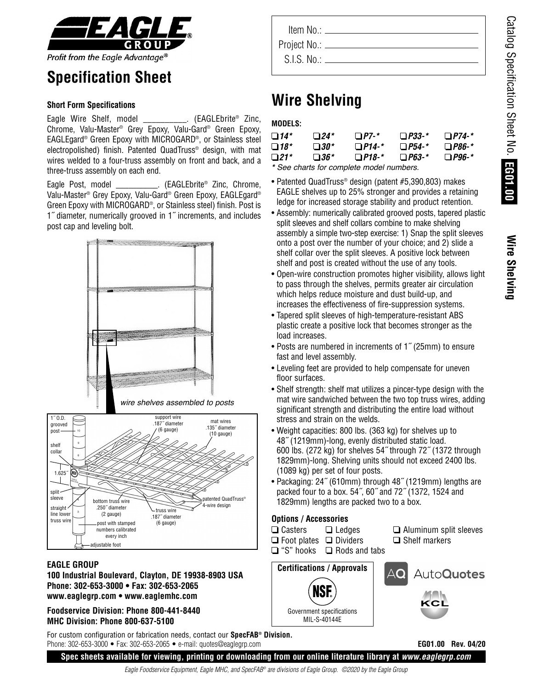**Wire**

**S h elvin g**



# **Specification Sheet**

### **Short Form Specifications**

Eagle Wire Shelf, model \_\_\_\_\_\_\_\_\_\_\_. (EAGLEbrite<sup>®</sup> Zinc, Chrome, Valu-Master® Grey Epoxy, Valu-Gard® Green Epoxy, EAGLEgard® Green Epoxy with MICROGARD®, or Stainless steel electropolished) finish. Patented QuadTruss® design, with mat wires welded to a four-truss assembly on front and back, and a three-truss assembly on each end.

Eagle Post, model \_\_\_\_\_\_\_\_\_\_\_. (EAGLEbrite<sup>®</sup> Zinc, Chrome, Valu-Master ® Grey Epoxy, Valu-Gard® Green Epoxy, EAGLEgard® Green Epoxy with MICROGARD®, or Stainless steel) finish. Post is 1˝ diameter, numerically grooved in 1˝ increments, and includes post cap and leveling bolt.



#### **EAGLE GROUP**

**100 Industrial Boulevard, Clayton, DE 19938-8903 USA Phone: 302-653-3000 • Fax: 302-653-2065 www.eaglegrp.com • www.eaglemhc.com**

**Foodservice Division: Phone 800-441-8440 MHC Division: Phone 800-637-5100**

For custom configuration or fabrication needs, contact our **SpecFAB® Division.** Phone: 302-653-3000 • Fax: 302-653-2065 • e-mail: quotes@eaglegrp.com

| Item No.: $\equiv$ |  |
|--------------------|--|
| Project No.: _     |  |
| S.I.S. No.         |  |
|                    |  |

# **Wire Shelving**

### **MODELS:**

| $\Box$ 14* | $\Box$ 24*  | $\Box$ P7-*  | $\Box$ P33-*  | $\Box$ P74-* |
|------------|-------------|--------------|---------------|--------------|
| $\Box$ 18* | $\Box 30^*$ | $\Box$ P14-* | $\Box P54-$ * | $\Box$ P86-* |
| $\Box$ 21* | $\Box 36^*$ | $\Box$ P18-* | $\Box$ P63-*  | $\Box$ P96-* |
|            |             |              |               |              |

**\*** See charts for complete model numbers.

- Patented QuadTruss® design (patent #5,390,803) makes EAGLE shelves up to 25% stronger and provides a retaining ledge for increased storage stability and product retention.
- Assembly: numerically calibrated grooved posts, tapered plastic split sleeves and shelf collars combine to make shelving assembly a simple two-step exercise: 1) Snap the split sleeves onto a post over the number of your choice; and 2) slide a shelf collar over the split sleeves. A positive lock between shelf and post is created without the use of any tools.
- Open-wire construction promotes higher visibility, allows light to pass through the shelves, permits greater air circulation which helps reduce moisture and dust build-up, and increases the effectiveness of fire-suppression systems.
- Tapered split sleeves of high-temperature-resistant ABS plastic create a positive lock that becomes stronger as the load increases.
- Posts are numbered in increments of 1˝ (25mm) to ensure fast and level assembly.
- Leveling feet are provided to help compensate for uneven floor surfaces.
- Shelf strength: shelf mat utilizes a pincer-type design with the mat wire sandwiched between the two top truss wires, adding significant strength and distributing the entire load without stress and strain on the welds.
- Weight capacities: 800 lbs. (363 kg) for shelves up to 48˝ (1219mm)-long, evenly distributed static load. 600 lbs. (272 kg) for shelves 54˝ through 72˝ (1372 through 1829mm)-long. Shelving units should not exceed 2400 lbs. (1089 kg) per set of four posts.
- Packaging: 24˝ (610mm) through 48˝ (1219mm) lengths are packed four to a box. 54˝, 60˝ and 72˝ (1372, 1524 and 1829mm) lengths are packed two to a box.

## **Options / Accessories**

- □ Casters  $\Box$  Ledges
- Foot plates Dividers
- "S" hooks Rods and tabs
- $\Box$  Aluminum split sleeves  $\Box$  Shelf markers





**EG01.00 Rev. 04/20**

Eagle Foodservice Equipment, Eagle MHC, and SpecFAB® are divisions of Eagle Group. ©2020 by the Eagle Group **Spec sheets available for viewing, printing or downloading from our online literature library at** *www.eaglegrp.com*